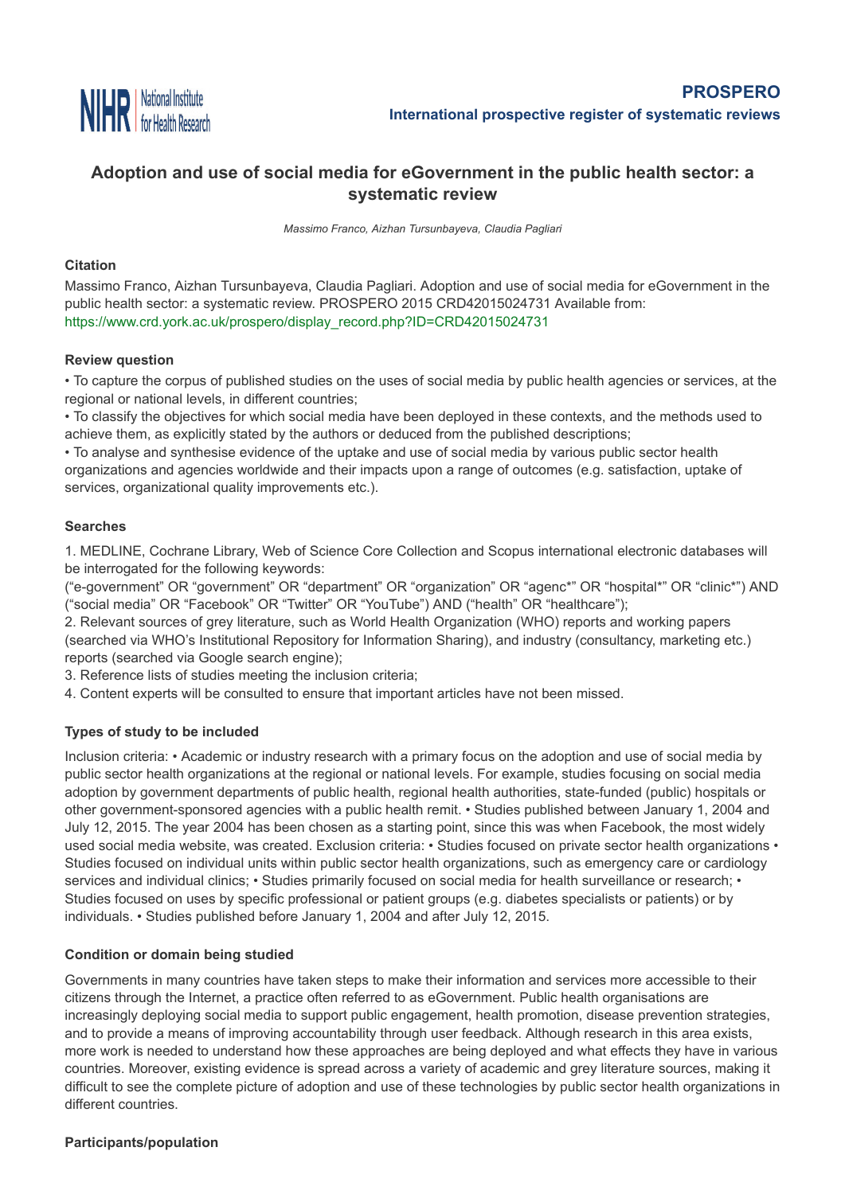

## **[Adoption](http://www.nihr.ac.uk/) and use of social media for eGovernment in the public health sector: a systematic review**

*Massimo Franco, Aizhan Tursunbayeva, Claudia Pagliari*

#### **Citation**

Massimo Franco, Aizhan Tursunbayeva, Claudia Pagliari. Adoption and use of social media for eGovernment in the public health sector: a systematic review. PROSPERO 2015 CRD42015024731 Available from: [https://www.crd.york.ac.uk/prospero/display\\_record.php?ID=CRD42015024731](https://www.crd.york.ac.uk/prospero/display_record.php?ID=CRD42015024731)

#### **Review question**

• To capture the corpus of published studies on the uses of social media by public health agencies or services, at the regional or national levels, in different countries;

• To classify the objectives for which social media have been deployed in these contexts, and the methods used to achieve them, as explicitly stated by the authors or deduced from the published descriptions;

• To analyse and synthesise evidence of the uptake and use of social media by various public sector health organizations and agencies worldwide and their impacts upon a range of outcomes (e.g. satisfaction, uptake of services, organizational quality improvements etc.).

### **Searches**

1. MEDLINE, Cochrane Library, Web of Science Core Collection and Scopus international electronic databases will be interrogated for the following keywords:

("e-government" OR "government" OR "department" OR "organization" OR "agenc\*" OR "hospital\*" OR "clinic\*") AND ("social media" OR "Facebook" OR "Twitter" OR "YouTube") AND ("health" OR "healthcare");

2. Relevant sources of grey literature, such as World Health Organization (WHO) reports and working papers (searched via WHO's Institutional Repository for Information Sharing), and industry (consultancy, marketing etc.) reports (searched via Google search engine);

3. Reference lists of studies meeting the inclusion criteria;

4. Content experts will be consulted to ensure that important articles have not been missed.

## **Types of study to be included**

Inclusion criteria: • Academic or industry research with a primary focus on the adoption and use of social media by public sector health organizations at the regional or national levels. For example, studies focusing on social media adoption by government departments of public health, regional health authorities, state-funded (public) hospitals or other government-sponsored agencies with a public health remit. • Studies published between January 1, 2004 and July 12, 2015. The year 2004 has been chosen as a starting point, since this was when Facebook, the most widely used social media website, was created. Exclusion criteria: • Studies focused on private sector health organizations • Studies focused on individual units within public sector health organizations, such as emergency care or cardiology services and individual clinics; • Studies primarily focused on social media for health surveillance or research; • Studies focused on uses by specific professional or patient groups (e.g. diabetes specialists or patients) or by individuals. • Studies published before January 1, 2004 and after July 12, 2015.

## **Condition or domain being studied**

Governments in many countries have taken steps to make their information and services more accessible to their citizens through the Internet, a practice often referred to as eGovernment. Public health organisations are increasingly deploying social media to support public engagement, health promotion, disease prevention strategies, and to provide a means of improving accountability through user feedback. Although research in this area exists, more work is needed to understand how these approaches are being deployed and what effects they have in various countries. Moreover, existing evidence is spread across a variety of academic and grey literature sources, making it difficult to see the complete picture of adoption and use of these technologies by public sector health organizations in different countries.

#### **Participants/population**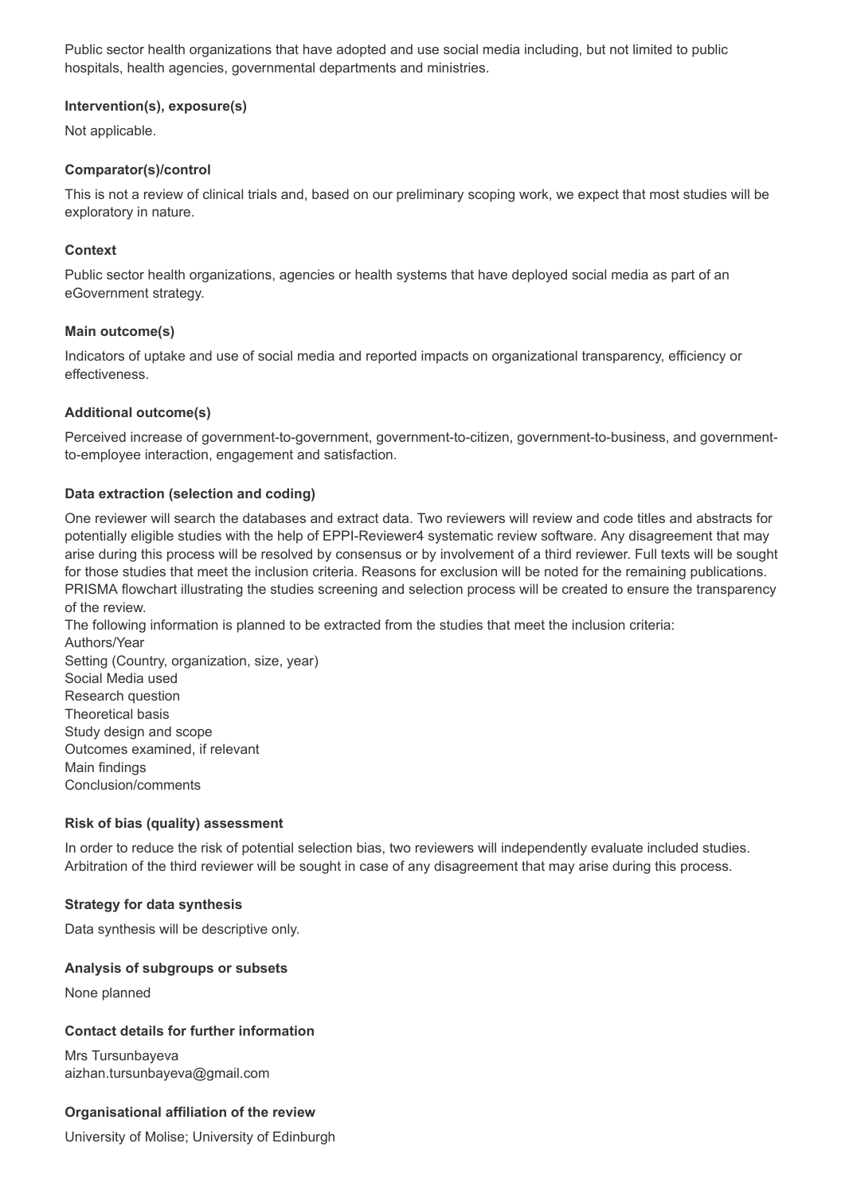Public sector health organizations that have adopted and use social media including, but not limited to public hospitals, health agencies, governmental departments and ministries.

#### **Intervention(s), exposure(s)**

Not applicable.

#### **Comparator(s)/control**

This is not a review of clinical trials and, based on our preliminary scoping work, we expect that most studies will be exploratory in nature.

#### **Context**

Public sector health organizations, agencies or health systems that have deployed social media as part of an eGovernment strategy.

#### **Main outcome(s)**

Indicators of uptake and use of social media and reported impacts on organizational transparency, efficiency or effectiveness.

#### **Additional outcome(s)**

Perceived increase of government-to-government, government-to-citizen, government-to-business, and governmentto-employee interaction, engagement and satisfaction.

#### **Data extraction (selection and coding)**

One reviewer will search the databases and extract data. Two reviewers will review and code titles and abstracts for potentially eligible studies with the help of EPPI-Reviewer4 systematic review software. Any disagreement that may arise during this process will be resolved by consensus or by involvement of a third reviewer. Full texts will be sought for those studies that meet the inclusion criteria. Reasons for exclusion will be noted for the remaining publications. PRISMA flowchart illustrating the studies screening and selection process will be created to ensure the transparency of the review.

The following information is planned to be extracted from the studies that meet the inclusion criteria: Authors/Year Setting (Country, organization, size, year) Social Media used Research question Theoretical basis Study design and scope Outcomes examined, if relevant

Main findings Conclusion/comments

#### **Risk of bias (quality) assessment**

In order to reduce the risk of potential selection bias, two reviewers will independently evaluate included studies. Arbitration of the third reviewer will be sought in case of any disagreement that may arise during this process.

#### **Strategy for data synthesis**

Data synthesis will be descriptive only.

#### **Analysis of subgroups or subsets**

None planned

#### **Contact details for further information**

Mrs Tursunbayeva aizhan.tursunbayeva@gmail.com

#### **Organisational affiliation of the review**

University of Molise; University of Edinburgh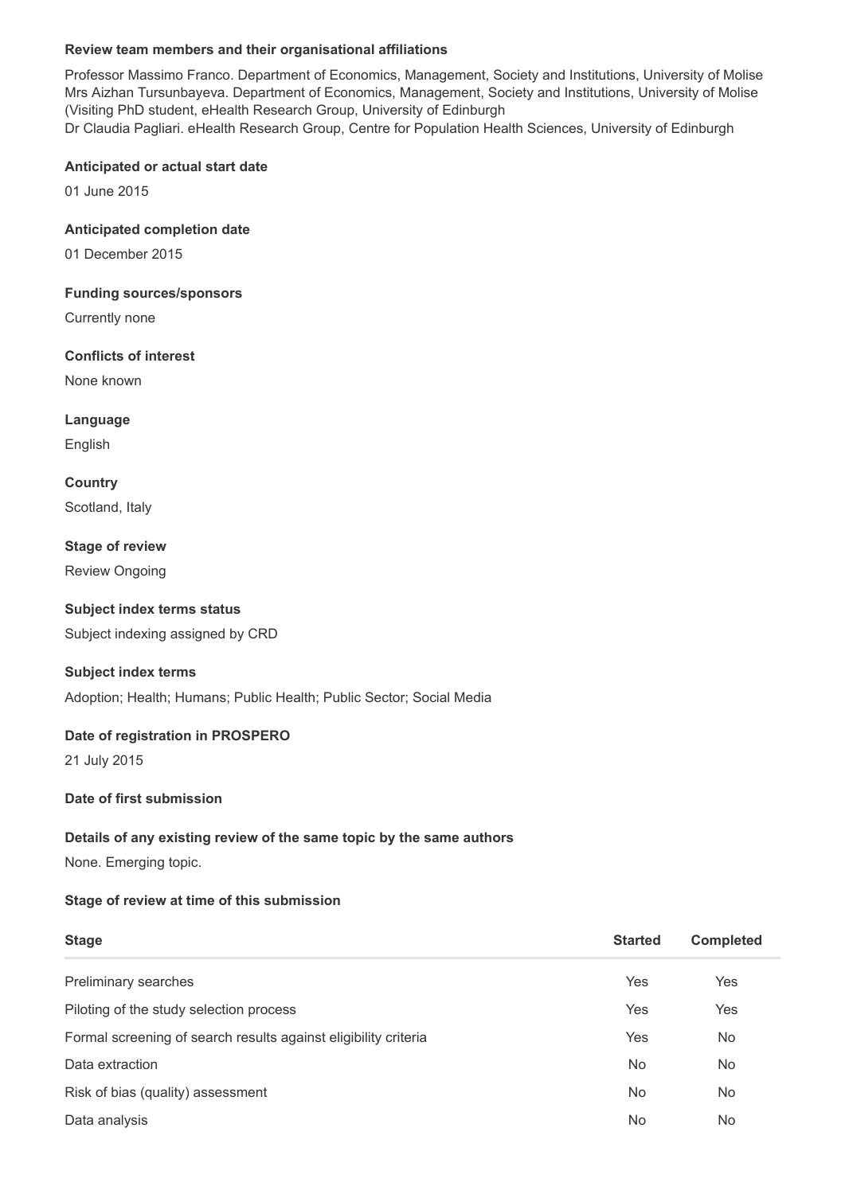## **Review team members and their organisational affiliations**

Professor Massimo Franco. Department of Economics, Management, Society and Institutions, University of Molise Mrs Aizhan Tursunbayeva. Department of Economics, Management, Society and Institutions, University of Molise (Visiting PhD student, eHealth Research Group, University of Edinburgh Dr Claudia Pagliari. eHealth Research Group, Centre for Population Health Sciences, University of Edinburgh

#### **Anticipated or actual start date**

01 June 2015

#### **Anticipated completion date**

01 December 2015

#### **Funding sources/sponsors**

Currently none

## **Conflicts of interest**

None known

# **Language**

English

**Country** Scotland, Italy

## **Stage of review**

Review Ongoing

## **Subject index terms status**

Subject indexing assigned by CRD

## **Subject index terms**

Adoption; Health; Humans; Public Health; Public Sector; Social Media

## **Date of registration in PROSPERO**

21 July 2015

## **Date of first submission**

## **Details of any existing review of the same topic by the same authors**

None. Emerging topic.

#### **Stage of review at time of this submission**

| <b>Stage</b>                                                    | <b>Started</b> | <b>Completed</b> |
|-----------------------------------------------------------------|----------------|------------------|
| <b>Preliminary searches</b>                                     | Yes            | Yes              |
| Piloting of the study selection process                         | Yes            | Yes              |
| Formal screening of search results against eligibility criteria | Yes            | No               |
| Data extraction                                                 | No.            | No               |
| Risk of bias (quality) assessment                               | <b>No</b>      | No               |
| Data analysis                                                   | <b>No</b>      | No               |